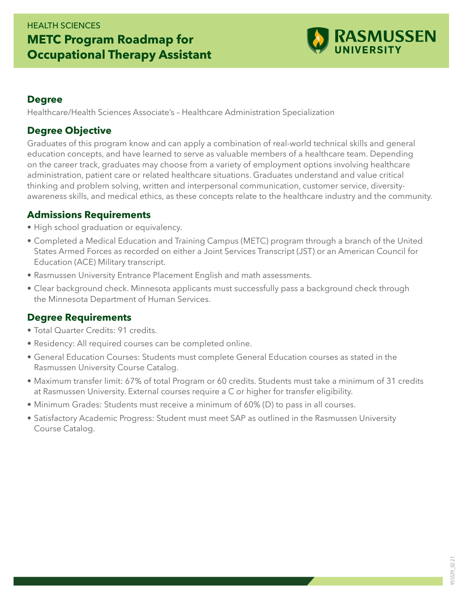

#### **Degree**

Healthcare/Health Sciences Associate's – Healthcare Administration Specialization

### **Degree Objective**

Graduates of this program know and can apply a combination of real-world technical skills and general education concepts, and have learned to serve as valuable members of a healthcare team. Depending on the career track, graduates may choose from a variety of employment options involving healthcare administration, patient care or related healthcare situations. Graduates understand and value critical thinking and problem solving, written and interpersonal communication, customer service, diversityawareness skills, and medical ethics, as these concepts relate to the healthcare industry and the community.

#### **Admissions Requirements**

- High school graduation or equivalency.
- Completed a Medical Education and Training Campus (METC) program through a branch of the United States Armed Forces as recorded on either a Joint Services Transcript (JST) or an American Council for Education (ACE) Military transcript.
- Rasmussen University Entrance Placement English and math assessments.
- Clear background check. Minnesota applicants must successfully pass a background check through the Minnesota Department of Human Services.

## **Degree Requirements**

- Total Quarter Credits: 91 credits.
- Residency: All required courses can be completed online.
- General Education Courses: Students must complete General Education courses as stated in the Rasmussen University Course Catalog.
- Maximum transfer limit: 67% of total Program or 60 credits. Students must take a minimum of 31 credits at Rasmussen University. External courses require a C or higher for transfer eligibility.
- Minimum Grades: Students must receive a minimum of 60% (D) to pass in all courses.
- Satisfactory Academic Progress: Student must meet SAP as outlined in the Rasmussen University Course Catalog.